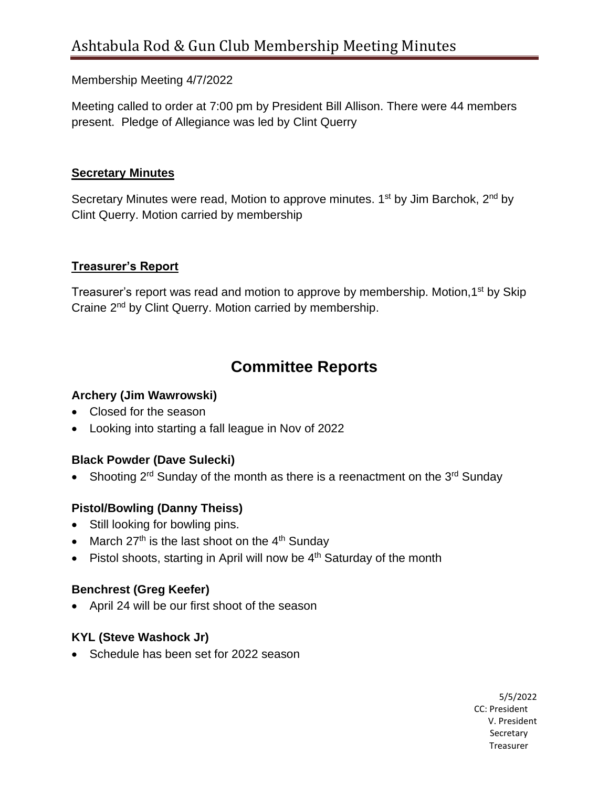#### Membership Meeting 4/7/2022

Meeting called to order at 7:00 pm by President Bill Allison. There were 44 members present. Pledge of Allegiance was led by Clint Querry

#### **Secretary Minutes**

Secretary Minutes were read, Motion to approve minutes. 1<sup>st</sup> by Jim Barchok, 2<sup>nd</sup> by Clint Querry. Motion carried by membership

#### **Treasurer's Report**

Treasurer's report was read and motion to approve by membership. Motion, 1<sup>st</sup> by Skip Craine 2<sup>nd</sup> by Clint Querry. Motion carried by membership.

## **Committee Reports**

#### **Archery (Jim Wawrowski)**

- Closed for the season
- Looking into starting a fall league in Nov of 2022

#### **Black Powder (Dave Sulecki)**

• Shooting 2<sup>rd</sup> Sunday of the month as there is a reenactment on the 3<sup>rd</sup> Sunday

## **Pistol/Bowling (Danny Theiss)**

- Still looking for bowling pins.
- March  $27<sup>th</sup>$  is the last shoot on the  $4<sup>th</sup>$  Sunday
- Pistol shoots, starting in April will now be  $4<sup>th</sup>$  Saturday of the month

## **Benchrest (Greg Keefer)**

• April 24 will be our first shoot of the season

#### **KYL (Steve Washock Jr)**

• Schedule has been set for 2022 season

5/5/2022 CC: President V. President Secretary of the contract of the contract of the contract of the contract of the contract of the contract of the contract of the contract of the contract of the contract of the contract of the contract of the contract of t the control of the control of the control of the control of the control of the control of the control of the control of the control of the control of the control of the control of the control of the control of the control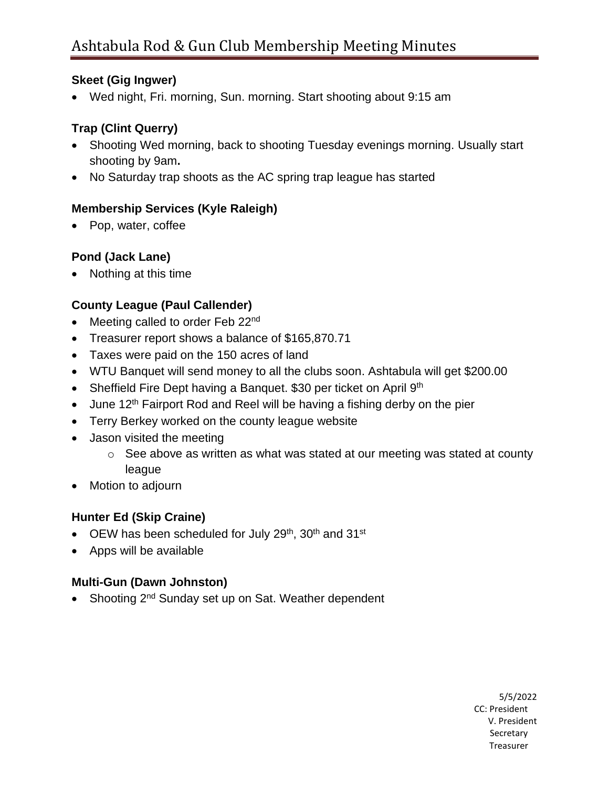#### **Skeet (Gig Ingwer)**

• Wed night, Fri. morning, Sun. morning. Start shooting about 9:15 am

## **Trap (Clint Querry)**

- Shooting Wed morning, back to shooting Tuesday evenings morning. Usually start shooting by 9am**.**
- No Saturday trap shoots as the AC spring trap league has started

## **Membership Services (Kyle Raleigh)**

• Pop, water, coffee

## **Pond (Jack Lane)**

• Nothing at this time

## **County League (Paul Callender)**

- Meeting called to order Feb 22<sup>nd</sup>
- Treasurer report shows a balance of \$165,870.71
- Taxes were paid on the 150 acres of land
- WTU Banquet will send money to all the clubs soon. Ashtabula will get \$200.00
- Sheffield Fire Dept having a Banquet. \$30 per ticket on April  $9<sup>th</sup>$
- June 12<sup>th</sup> Fairport Rod and Reel will be having a fishing derby on the pier
- Terry Berkey worked on the county league website
- Jason visited the meeting
	- o See above as written as what was stated at our meeting was stated at county league
- Motion to adjourn

## **Hunter Ed (Skip Craine)**

- OEW has been scheduled for July  $29<sup>th</sup>$ ,  $30<sup>th</sup>$  and  $31<sup>st</sup>$
- Apps will be available

## **Multi-Gun (Dawn Johnston)**

• Shooting 2<sup>nd</sup> Sunday set up on Sat. Weather dependent

5/5/2022 CC: President V. President Secretary of the contract of the contract of the contract of the contract of the contract of the contract of the contract of the contract of the contract of the contract of the contract of the contract of the contract of t the control of the control of the control of the control of the control of the control of the control of the control of the control of the control of the control of the control of the control of the control of the control